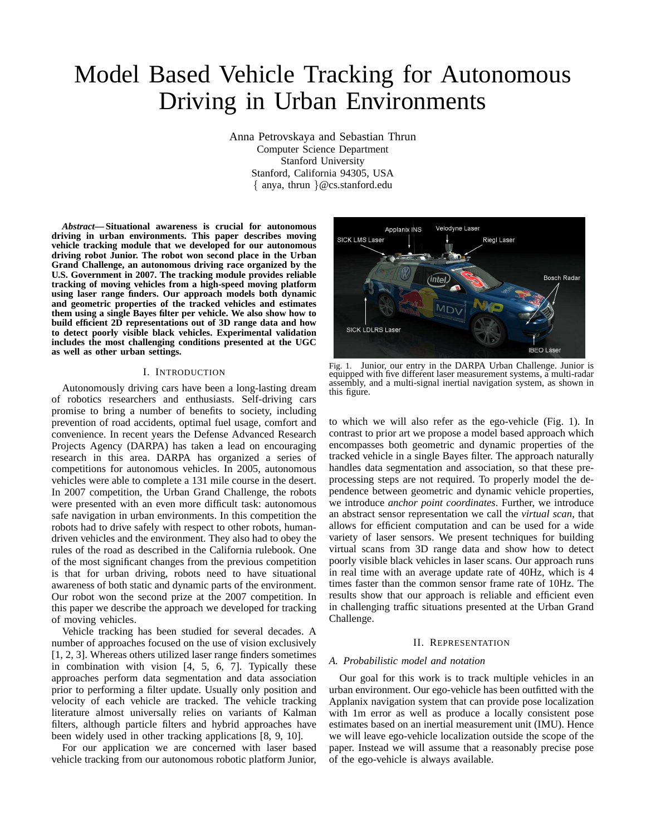# Model Based Vehicle Tracking for Autonomous Driving in Urban Environments

Anna Petrovskaya and Sebastian Thrun Computer Science Department Stanford University Stanford, California 94305, USA { anya, thrun }@cs.stanford.edu

*Abstract***— Situational awareness is crucial for autonomous driving in urban environments. This paper describes moving vehicle tracking module that we developed for our autonomous driving robot Junior. The robot won second place in the Urban Grand Challenge, an autonomous driving race organized by the U.S. Government in 2007. The tracking module provides reliable tracking of moving vehicles from a high-speed moving platform using laser range finders. Our approach models both dynamic and geometric properties of the tracked vehicles and estimates them using a single Bayes filter per vehicle. We also show how to build efficient 2D representations out of 3D range data and how to detect poorly visible black vehicles. Experimental validation includes the most challenging conditions presented at the UGC as well as other urban settings.**

## I. INTRODUCTION

Autonomously driving cars have been a long-lasting dream of robotics researchers and enthusiasts. Self-driving cars promise to bring a number of benefits to society, including prevention of road accidents, optimal fuel usage, comfort and convenience. In recent years the Defense Advanced Research Projects Agency (DARPA) has taken a lead on encouraging research in this area. DARPA has organized a series of competitions for autonomous vehicles. In 2005, autonomous vehicles were able to complete a 131 mile course in the desert. In 2007 competition, the Urban Grand Challenge, the robots were presented with an even more difficult task: autonomous safe navigation in urban environments. In this competition the robots had to drive safely with respect to other robots, humandriven vehicles and the environment. They also had to obey the rules of the road as described in the California rulebook. One of the most significant changes from the previous competition is that for urban driving, robots need to have situational awareness of both static and dynamic parts of the environment. Our robot won the second prize at the 2007 competition. In this paper we describe the approach we developed for tracking of moving vehicles.

Vehicle tracking has been studied for several decades. A number of approaches focused on the use of vision exclusively [1, 2, 3]. Whereas others utilized laser range finders sometimes in combination with vision [4, 5, 6, 7]. Typically these approaches perform data segmentation and data association prior to performing a filter update. Usually only position and velocity of each vehicle are tracked. The vehicle tracking literature almost universally relies on variants of Kalman filters, although particle filters and hybrid approaches have been widely used in other tracking applications [8, 9, 10].

For our application we are concerned with laser based vehicle tracking from our autonomous robotic platform Junior,



Fig. 1. Junior, our entry in the DARPA Urban Challenge. Junior is equipped with five different laser measurement systems, a multi-radar assembly, and a multi-signal inertial navigation system, as shown in this figure.

to which we will also refer as the ego-vehicle (Fig. 1). In contrast to prior art we propose a model based approach which encompasses both geometric and dynamic properties of the tracked vehicle in a single Bayes filter. The approach naturally handles data segmentation and association, so that these preprocessing steps are not required. To properly model the dependence between geometric and dynamic vehicle properties, we introduce *anchor point coordinates*. Further, we introduce an abstract sensor representation we call the *virtual scan*, that allows for efficient computation and can be used for a wide variety of laser sensors. We present techniques for building virtual scans from 3D range data and show how to detect poorly visible black vehicles in laser scans. Our approach runs in real time with an average update rate of 40Hz, which is 4 times faster than the common sensor frame rate of 10Hz. The results show that our approach is reliable and efficient even in challenging traffic situations presented at the Urban Grand Challenge.

# II. REPRESENTATION

#### *A. Probabilistic model and notation*

Our goal for this work is to track multiple vehicles in an urban environment. Our ego-vehicle has been outfitted with the Applanix navigation system that can provide pose localization with 1m error as well as produce a locally consistent pose estimates based on an inertial measurement unit (IMU). Hence we will leave ego-vehicle localization outside the scope of the paper. Instead we will assume that a reasonably precise pose of the ego-vehicle is always available.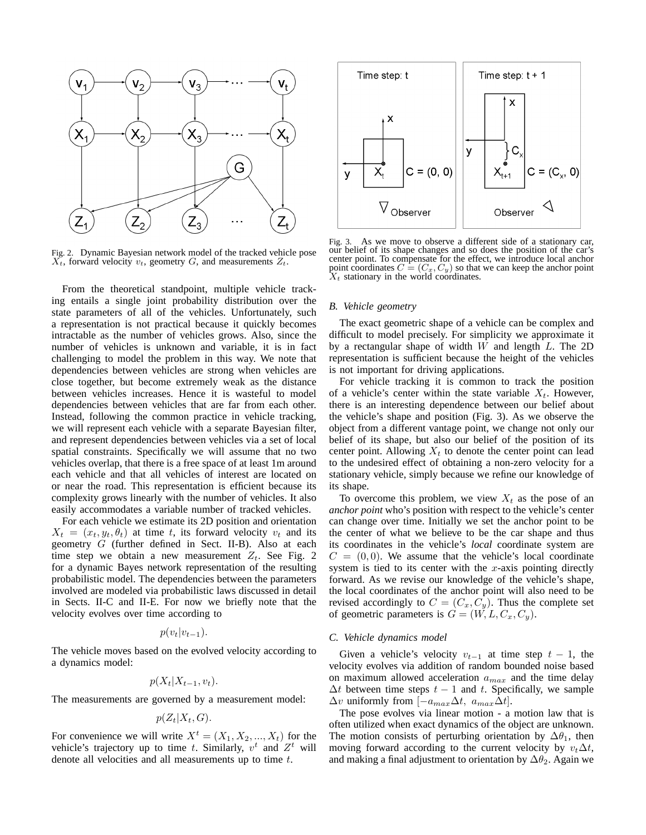

Fig. 2. Dynamic Bayesian network model of the tracked vehicle pose  $X_t$ , forward velocity  $v_t$ , geometry G, and measurements  $Z_t$ .

From the theoretical standpoint, multiple vehicle tracking entails a single joint probability distribution over the state parameters of all of the vehicles. Unfortunately, such a representation is not practical because it quickly becomes intractable as the number of vehicles grows. Also, since the number of vehicles is unknown and variable, it is in fact challenging to model the problem in this way. We note that dependencies between vehicles are strong when vehicles are close together, but become extremely weak as the distance between vehicles increases. Hence it is wasteful to model dependencies between vehicles that are far from each other. Instead, following the common practice in vehicle tracking, we will represent each vehicle with a separate Bayesian filter, and represent dependencies between vehicles via a set of local spatial constraints. Specifically we will assume that no two vehicles overlap, that there is a free space of at least 1m around each vehicle and that all vehicles of interest are located on or near the road. This representation is efficient because its complexity grows linearly with the number of vehicles. It also easily accommodates a variable number of tracked vehicles.

For each vehicle we estimate its 2D position and orientation  $X_t = (x_t, y_t, \theta_t)$  at time t, its forward velocity  $v_t$  and its geometry G (further defined in Sect. II-B). Also at each time step we obtain a new measurement  $Z_t$ . See Fig. 2 for a dynamic Bayes network representation of the resulting probabilistic model. The dependencies between the parameters involved are modeled via probabilistic laws discussed in detail in Sects. II-C and II-E. For now we briefly note that the velocity evolves over time according to

$$
p(v_t|v_{t-1}).
$$

The vehicle moves based on the evolved velocity according to a dynamics model:

$$
p(X_t|X_{t-1}, v_t).
$$

The measurements are governed by a measurement model:

$$
p(Z_t|X_t,G).
$$

For convenience we will write  $X^t = (X_1, X_2, ..., X_t)$  for the vehicle's trajectory up to time t. Similarly,  $v^t$  and  $Z^t$  will denote all velocities and all measurements up to time t.



Fig. 3. As we move to observe a different side of a stationary car, our belief of its shape changes and so does the position of the car's center point. To compensate for the effect, we introduce local anchor point coordinates  $C = (C_x, C_y)$  so that we can keep the anchor point  $X_t$  stationary in the world coordinates.

## *B. Vehicle geometry*

The exact geometric shape of a vehicle can be complex and difficult to model precisely. For simplicity we approximate it by a rectangular shape of width  $W$  and length  $L$ . The 2D representation is sufficient because the height of the vehicles is not important for driving applications.

For vehicle tracking it is common to track the position of a vehicle's center within the state variable  $X_t$ . However, there is an interesting dependence between our belief about the vehicle's shape and position (Fig. 3). As we observe the object from a different vantage point, we change not only our belief of its shape, but also our belief of the position of its center point. Allowing  $X_t$  to denote the center point can lead to the undesired effect of obtaining a non-zero velocity for a stationary vehicle, simply because we refine our knowledge of its shape.

To overcome this problem, we view  $X_t$  as the pose of an *anchor point* who's position with respect to the vehicle's center can change over time. Initially we set the anchor point to be the center of what we believe to be the car shape and thus its coordinates in the vehicle's *local* coordinate system are  $C = (0, 0)$ . We assume that the vehicle's local coordinate system is tied to its center with the  $x$ -axis pointing directly forward. As we revise our knowledge of the vehicle's shape, the local coordinates of the anchor point will also need to be revised accordingly to  $C = (C_x, C_y)$ . Thus the complete set of geometric parameters is  $G = (W, L, C_x, C_y)$ .

## *C. Vehicle dynamics model*

Given a vehicle's velocity  $v_{t-1}$  at time step  $t - 1$ , the velocity evolves via addition of random bounded noise based on maximum allowed acceleration  $a_{max}$  and the time delay  $\Delta t$  between time steps  $t - 1$  and  $t$ . Specifically, we sample  $\Delta v$  uniformly from  $[-a_{max}\Delta t, a_{max}\Delta t]$ .

The pose evolves via linear motion - a motion law that is often utilized when exact dynamics of the object are unknown. The motion consists of perturbing orientation by  $\Delta\theta_1$ , then moving forward according to the current velocity by  $v_t\Delta t$ , and making a final adjustment to orientation by  $\Delta\theta_2$ . Again we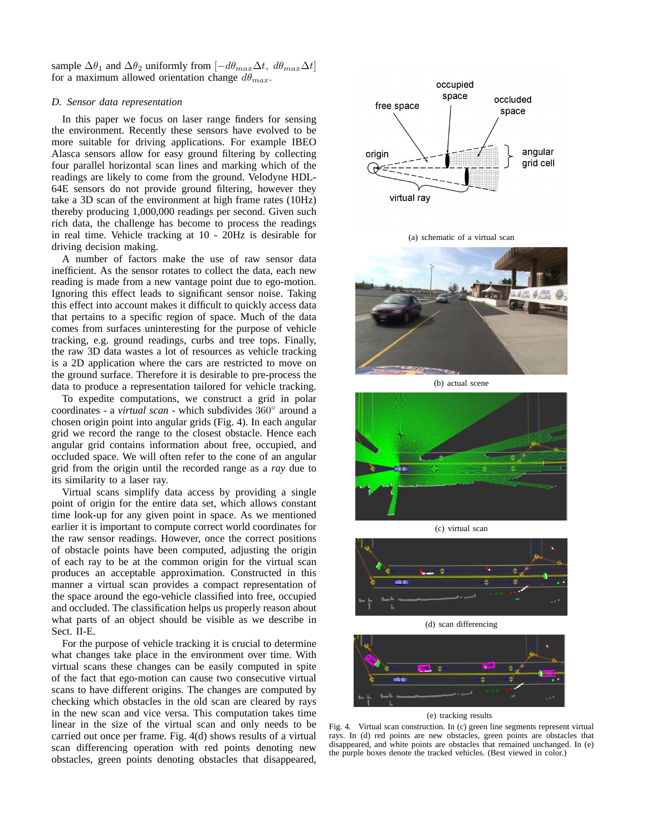sample  $\Delta\theta_1$  and  $\Delta\theta_2$  uniformly from  $[-d\theta_{max}\Delta t, d\theta_{max}\Delta t]$ for a maximum allowed orientation change  $d\theta_{max}$ .

#### *D. Sensor data representation*

In this paper we focus on laser range finders for sensing the environment. Recently these sensors have evolved to be more suitable for driving applications. For example IBEO Alasca sensors allow for easy ground filtering by collecting four parallel horizontal scan lines and marking which of the readings are likely to come from the ground. Velodyne HDL-64E sensors do not provide ground filtering, however they take a 3D scan of the environment at high frame rates (10Hz) thereby producing 1,000,000 readings per second. Given such rich data, the challenge has become to process the readings in real time. Vehicle tracking at 10 - 20Hz is desirable for driving decision making.

A number of factors make the use of raw sensor data inefficient. As the sensor rotates to collect the data, each new reading is made from a new vantage point due to ego-motion. Ignoring this effect leads to significant sensor noise. Taking this effect into account makes it difficult to quickly access data that pertains to a specific region of space. Much of the data comes from surfaces uninteresting for the purpose of vehicle tracking, e.g. ground readings, curbs and tree tops. Finally, the raw 3D data wastes a lot of resources as vehicle tracking is a 2D application where the cars are restricted to move on the ground surface. Therefore it is desirable to pre-process the data to produce a representation tailored for vehicle tracking.

To expedite computations, we construct a grid in polar coordinates - a *virtual scan* - which subdivides 360◦ around a chosen origin point into angular grids (Fig. 4). In each angular grid we record the range to the closest obstacle. Hence each angular grid contains information about free, occupied, and occluded space. We will often refer to the cone of an angular grid from the origin until the recorded range as a *ray* due to its similarity to a laser ray.

Virtual scans simplify data access by providing a single point of origin for the entire data set, which allows constant time look-up for any given point in space. As we mentioned earlier it is important to compute correct world coordinates for the raw sensor readings. However, once the correct positions of obstacle points have been computed, adjusting the origin of each ray to be at the common origin for the virtual scan produces an acceptable approximation. Constructed in this manner a virtual scan provides a compact representation of the space around the ego-vehicle classified into free, occupied and occluded. The classification helps us properly reason about what parts of an object should be visible as we describe in Sect. II-E.

For the purpose of vehicle tracking it is crucial to determine what changes take place in the environment over time. With virtual scans these changes can be easily computed in spite of the fact that ego-motion can cause two consecutive virtual scans to have different origins. The changes are computed by checking which obstacles in the old scan are cleared by rays in the new scan and vice versa. This computation takes time linear in the size of the virtual scan and only needs to be carried out once per frame. Fig. 4(d) shows results of a virtual scan differencing operation with red points denoting new obstacles, green points denoting obstacles that disappeared,



(a) schematic of a virtual scan



(b) actual scene



(c) virtual scan



(d) scan differencing



(e) tracking results

Fig. 4. Virtual scan construction. In (c) green line segments represent virtual rays. In (d) red points are new obstacles, green points are obstacles that disappeared, and white points are obstacles that remained unchanged. In (e) the purple boxes denote the tracked vehicles. (Best viewed in color.)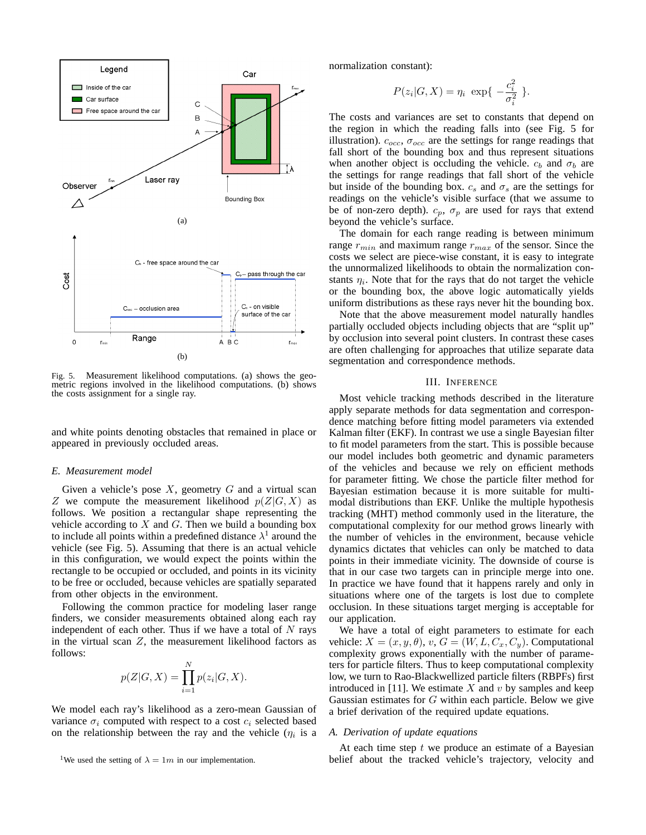

Fig. 5. Measurement likelihood computations. (a) shows the geometric regions involved in the likelihood computations. (b) shows the costs assignment for a single ray.

and white points denoting obstacles that remained in place or appeared in previously occluded areas.

# *E. Measurement model*

Given a vehicle's pose  $X$ , geometry  $G$  and a virtual scan Z we compute the measurement likelihood  $p(Z|G, X)$  as follows. We position a rectangular shape representing the vehicle according to  $X$  and  $G$ . Then we build a bounding box to include all points within a predefined distance  $\lambda^1$  around the vehicle (see Fig. 5). Assuming that there is an actual vehicle in this configuration, we would expect the points within the rectangle to be occupied or occluded, and points in its vicinity to be free or occluded, because vehicles are spatially separated from other objects in the environment.

Following the common practice for modeling laser range finders, we consider measurements obtained along each ray independent of each other. Thus if we have a total of  $N$  rays in the virtual scan  $Z$ , the measurement likelihood factors as follows:

$$
p(Z|G, X) = \prod_{i=1}^{N} p(z_i|G, X).
$$

We model each ray's likelihood as a zero-mean Gaussian of variance  $\sigma_i$  computed with respect to a cost  $c_i$  selected based on the relationship between the ray and the vehicle  $(\eta_i)$  is a

normalization constant):

$$
P(z_i|G, X) = \eta_i \exp\{-\frac{c_i^2}{\sigma_i^2}\}.
$$

The costs and variances are set to constants that depend on the region in which the reading falls into (see Fig. 5 for illustration).  $c_{occ}$ ,  $\sigma_{occ}$  are the settings for range readings that fall short of the bounding box and thus represent situations when another object is occluding the vehicle.  $c_b$  and  $\sigma_b$  are the settings for range readings that fall short of the vehicle but inside of the bounding box.  $c_s$  and  $\sigma_s$  are the settings for readings on the vehicle's visible surface (that we assume to be of non-zero depth).  $c_p$ ,  $\sigma_p$  are used for rays that extend beyond the vehicle's surface.

The domain for each range reading is between minimum range  $r_{min}$  and maximum range  $r_{max}$  of the sensor. Since the costs we select are piece-wise constant, it is easy to integrate the unnormalized likelihoods to obtain the normalization constants  $\eta_i$ . Note that for the rays that do not target the vehicle or the bounding box, the above logic automatically yields uniform distributions as these rays never hit the bounding box.

Note that the above measurement model naturally handles partially occluded objects including objects that are "split up" by occlusion into several point clusters. In contrast these cases are often challenging for approaches that utilize separate data segmentation and correspondence methods.

# III. INFERENCE

Most vehicle tracking methods described in the literature apply separate methods for data segmentation and correspondence matching before fitting model parameters via extended Kalman filter (EKF). In contrast we use a single Bayesian filter to fit model parameters from the start. This is possible because our model includes both geometric and dynamic parameters of the vehicles and because we rely on efficient methods for parameter fitting. We chose the particle filter method for Bayesian estimation because it is more suitable for multimodal distributions than EKF. Unlike the multiple hypothesis tracking (MHT) method commonly used in the literature, the computational complexity for our method grows linearly with the number of vehicles in the environment, because vehicle dynamics dictates that vehicles can only be matched to data points in their immediate vicinity. The downside of course is that in our case two targets can in principle merge into one. In practice we have found that it happens rarely and only in situations where one of the targets is lost due to complete occlusion. In these situations target merging is acceptable for our application.

We have a total of eight parameters to estimate for each vehicle:  $X = (x, y, \theta), v, G = (W, L, C_x, C_y)$ . Computational complexity grows exponentially with the number of parameters for particle filters. Thus to keep computational complexity low, we turn to Rao-Blackwellized particle filters (RBPFs) first introduced in [11]. We estimate  $X$  and  $v$  by samples and keep Gaussian estimates for  $G$  within each particle. Below we give a brief derivation of the required update equations.

## *A. Derivation of update equations*

At each time step  $t$  we produce an estimate of a Bayesian belief about the tracked vehicle's trajectory, velocity and

<sup>&</sup>lt;sup>1</sup>We used the setting of  $\lambda = 1m$  in our implementation.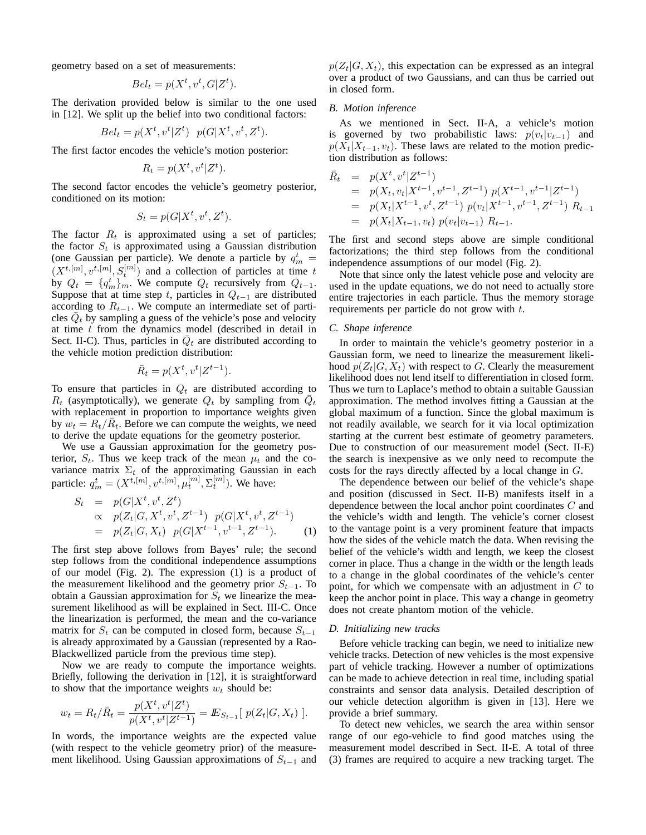geometry based on a set of measurements:

$$
Bel_t = p(X^t, v^t, G|Z^t).
$$

The derivation provided below is similar to the one used in [12]. We split up the belief into two conditional factors:

$$
Bel_t = p(X^t, v^t | Z^t) \ p(G | X^t, v^t, Z^t).
$$

The first factor encodes the vehicle's motion posterior:

$$
R_t = p(X^t, v^t | Z^t).
$$

The second factor encodes the vehicle's geometry posterior, conditioned on its motion:

$$
S_t = p(G|X^t, v^t, Z^t).
$$

The factor  $R_t$  is approximated using a set of particles; the factor  $S_t$  is approximated using a Gaussian distribution (one Gaussian per particle). We denote a particle by  $q_m^t =$  $(X^{t,[m]}, v^{t,[m]}, S_t^{[m]})$  and a collection of particles at time t by  $Q_t = \{q_m^t\}_m$ . We compute  $Q_t$  recursively from  $Q_{t-1}$ . Suppose that at time step t, particles in  $Q_{t-1}$  are distributed according to  $R_{t-1}$ . We compute an intermediate set of particles  $\overline{Q}_t$  by sampling a guess of the vehicle's pose and velocity at time  $t$  from the dynamics model (described in detail in Sect. II-C). Thus, particles in  $\overline{Q}_t$  are distributed according to the vehicle motion prediction distribution:

$$
\bar{R}_t = p(X^t, v^t | Z^{t-1}).
$$

To ensure that particles in  $Q_t$  are distributed according to  $R_t$  (asymptotically), we generate  $Q_t$  by sampling from  $\overline{Q}_t$ with replacement in proportion to importance weights given by  $w_t = R_t / \bar{R}_t$ . Before we can compute the weights, we need to derive the update equations for the geometry posterior.

We use a Gaussian approximation for the geometry posterior,  $S_t$ . Thus we keep track of the mean  $\mu_t$  and the covariance matrix  $\Sigma_t$  of the approximating Gaussian in each particle:  $q_m^t = (X^{t,[m]}, v^{t,[m]}, \mu_t^{[m]}, \Sigma_t^{[m]})$ . We have:

$$
S_t = p(G|X^t, v^t, Z^t)
$$
  
\n
$$
\propto p(Z_t|G, X^t, v^t, Z^{t-1}) p(G|X^t, v^t, Z^{t-1})
$$
  
\n
$$
= p(Z_t|G, X_t) p(G|X^{t-1}, v^{t-1}, Z^{t-1}).
$$
 (1)

The first step above follows from Bayes' rule; the second step follows from the conditional independence assumptions of our model (Fig. 2). The expression (1) is a product of the measurement likelihood and the geometry prior  $S_{t-1}$ . To obtain a Gaussian approximation for  $S_t$  we linearize the measurement likelihood as will be explained in Sect. III-C. Once the linearization is performed, the mean and the co-variance matrix for  $S_t$  can be computed in closed form, because  $S_{t-1}$ is already approximated by a Gaussian (represented by a Rao-Blackwellized particle from the previous time step).

Now we are ready to compute the importance weights. Briefly, following the derivation in [12], it is straightforward to show that the importance weights  $w_t$  should be:

$$
w_t = R_t / \bar{R}_t = \frac{p(X^t, v^t | Z^t)}{p(X^t, v^t | Z^{t-1})} = \mathbb{E}_{S_{t-1}}[p(Z_t | G, X_t)].
$$

In words, the importance weights are the expected value (with respect to the vehicle geometry prior) of the measurement likelihood. Using Gaussian approximations of  $S_{t-1}$  and  $p(Z_t|G, X_t)$ , this expectation can be expressed as an integral over a product of two Gaussians, and can thus be carried out in closed form.

# *B. Motion inference*

As we mentioned in Sect. II-A, a vehicle's motion is governed by two probabilistic laws:  $p(v_t|v_{t-1})$  and  $p(X_t|X_{t-1}, v_t)$ . These laws are related to the motion prediction distribution as follows:

$$
\begin{array}{rcl}\n\bar{R}_t & = & p(X^t, v^t | Z^{t-1}) \\
& = & p(X_t, v_t | X^{t-1}, v^{t-1}, Z^{t-1}) \ p(X^{t-1}, v^{t-1} | Z^{t-1}) \\
& = & p(X_t | X^{t-1}, v^t, Z^{t-1}) \ p(v_t | X^{t-1}, v^{t-1}, Z^{t-1}) \ R_{t-1} \\
& = & p(X_t | X_{t-1}, v_t) \ p(v_t | v_{t-1}) \ R_{t-1}.\n\end{array}
$$

The first and second steps above are simple conditional factorizations; the third step follows from the conditional independence assumptions of our model (Fig. 2).

Note that since only the latest vehicle pose and velocity are used in the update equations, we do not need to actually store entire trajectories in each particle. Thus the memory storage requirements per particle do not grow with t.

## *C. Shape inference*

In order to maintain the vehicle's geometry posterior in a Gaussian form, we need to linearize the measurement likelihood  $p(Z_t|G, X_t)$  with respect to G. Clearly the measurement likelihood does not lend itself to differentiation in closed form. Thus we turn to Laplace's method to obtain a suitable Gaussian approximation. The method involves fitting a Gaussian at the global maximum of a function. Since the global maximum is not readily available, we search for it via local optimization starting at the current best estimate of geometry parameters. Due to construction of our measurement model (Sect. II-E) the search is inexpensive as we only need to recompute the costs for the rays directly affected by a local change in G.

The dependence between our belief of the vehicle's shape and position (discussed in Sect. II-B) manifests itself in a dependence between the local anchor point coordinates C and the vehicle's width and length. The vehicle's corner closest to the vantage point is a very prominent feature that impacts how the sides of the vehicle match the data. When revising the belief of the vehicle's width and length, we keep the closest corner in place. Thus a change in the width or the length leads to a change in the global coordinates of the vehicle's center point, for which we compensate with an adjustment in  $C$  to keep the anchor point in place. This way a change in geometry does not create phantom motion of the vehicle.

#### *D. Initializing new tracks*

Before vehicle tracking can begin, we need to initialize new vehicle tracks. Detection of new vehicles is the most expensive part of vehicle tracking. However a number of optimizations can be made to achieve detection in real time, including spatial constraints and sensor data analysis. Detailed description of our vehicle detection algorithm is given in [13]. Here we provide a brief summary.

To detect new vehicles, we search the area within sensor range of our ego-vehicle to find good matches using the measurement model described in Sect. II-E. A total of three (3) frames are required to acquire a new tracking target. The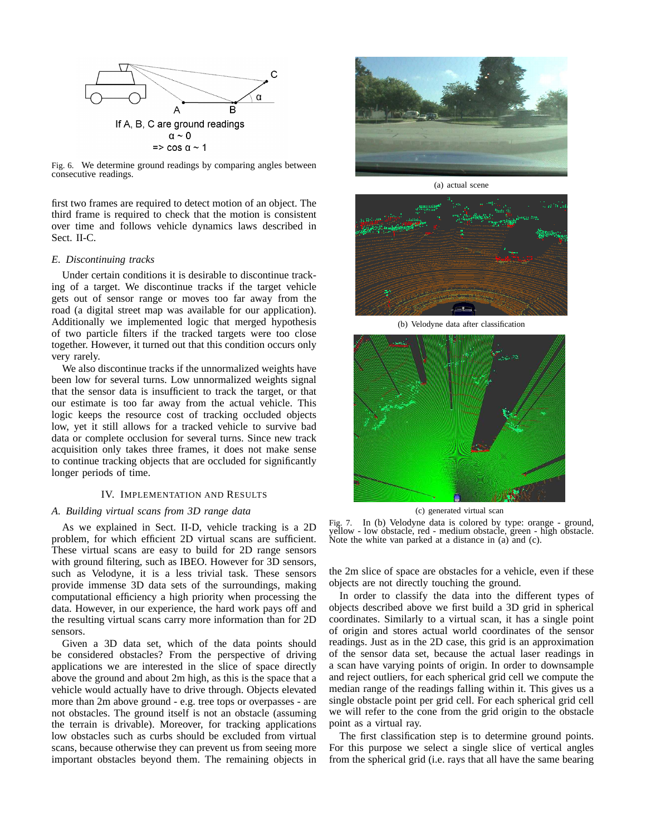

Fig. 6. We determine ground readings by comparing angles between consecutive readings.

first two frames are required to detect motion of an object. The third frame is required to check that the motion is consistent over time and follows vehicle dynamics laws described in Sect. II-C.

# *E. Discontinuing tracks*

Under certain conditions it is desirable to discontinue tracking of a target. We discontinue tracks if the target vehicle gets out of sensor range or moves too far away from the road (a digital street map was available for our application). Additionally we implemented logic that merged hypothesis of two particle filters if the tracked targets were too close together. However, it turned out that this condition occurs only very rarely.

We also discontinue tracks if the unnormalized weights have been low for several turns. Low unnormalized weights signal that the sensor data is insufficient to track the target, or that our estimate is too far away from the actual vehicle. This logic keeps the resource cost of tracking occluded objects low, yet it still allows for a tracked vehicle to survive bad data or complete occlusion for several turns. Since new track acquisition only takes three frames, it does not make sense to continue tracking objects that are occluded for significantly longer periods of time.

#### IV. IMPLEMENTATION AND RESULTS

#### *A. Building virtual scans from 3D range data*

As we explained in Sect. II-D, vehicle tracking is a 2D problem, for which efficient 2D virtual scans are sufficient. These virtual scans are easy to build for 2D range sensors with ground filtering, such as IBEO. However for 3D sensors, such as Velodyne, it is a less trivial task. These sensors provide immense 3D data sets of the surroundings, making computational efficiency a high priority when processing the data. However, in our experience, the hard work pays off and the resulting virtual scans carry more information than for 2D sensors.

Given a 3D data set, which of the data points should be considered obstacles? From the perspective of driving applications we are interested in the slice of space directly above the ground and about 2m high, as this is the space that a vehicle would actually have to drive through. Objects elevated more than 2m above ground - e.g. tree tops or overpasses - are not obstacles. The ground itself is not an obstacle (assuming the terrain is drivable). Moreover, for tracking applications low obstacles such as curbs should be excluded from virtual scans, because otherwise they can prevent us from seeing more important obstacles beyond them. The remaining objects in



(a) actual scene



(b) Velodyne data after classification



(c) generated virtual scan

Fig. 7. In (b) Velodyne data is colored by type: orange - ground, yellow - low obstacle, red - medium obstacle, green - high obstacle. Note the white van parked at a distance in (a) and (c).

the 2m slice of space are obstacles for a vehicle, even if these objects are not directly touching the ground.

In order to classify the data into the different types of objects described above we first build a 3D grid in spherical coordinates. Similarly to a virtual scan, it has a single point of origin and stores actual world coordinates of the sensor readings. Just as in the 2D case, this grid is an approximation of the sensor data set, because the actual laser readings in a scan have varying points of origin. In order to downsample and reject outliers, for each spherical grid cell we compute the median range of the readings falling within it. This gives us a single obstacle point per grid cell. For each spherical grid cell we will refer to the cone from the grid origin to the obstacle point as a virtual ray.

The first classification step is to determine ground points. For this purpose we select a single slice of vertical angles from the spherical grid (i.e. rays that all have the same bearing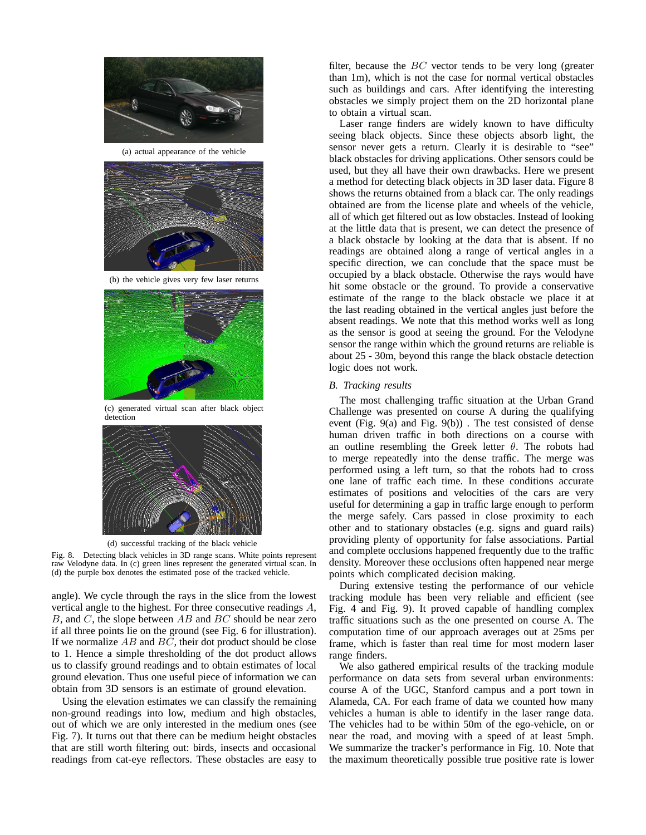

(a) actual appearance of the vehicle



(b) the vehicle gives very few laser returns



(c) generated virtual scan after black object detection



(d) successful tracking of the black vehicle

Fig. 8. Detecting black vehicles in 3D range scans. White points represent raw Velodyne data. In (c) green lines represent the generated virtual scan. In (d) the purple box denotes the estimated pose of the tracked vehicle.

angle). We cycle through the rays in the slice from the lowest vertical angle to the highest. For three consecutive readings A,  $B$ , and  $C$ , the slope between  $AB$  and  $BC$  should be near zero if all three points lie on the ground (see Fig. 6 for illustration). If we normalize  $AB$  and  $BC$ , their dot product should be close to 1. Hence a simple thresholding of the dot product allows us to classify ground readings and to obtain estimates of local ground elevation. Thus one useful piece of information we can obtain from 3D sensors is an estimate of ground elevation.

Using the elevation estimates we can classify the remaining non-ground readings into low, medium and high obstacles, out of which we are only interested in the medium ones (see Fig. 7). It turns out that there can be medium height obstacles that are still worth filtering out: birds, insects and occasional readings from cat-eye reflectors. These obstacles are easy to

filter, because the  $BC$  vector tends to be very long (greater than 1m), which is not the case for normal vertical obstacles such as buildings and cars. After identifying the interesting obstacles we simply project them on the 2D horizontal plane to obtain a virtual scan.

Laser range finders are widely known to have difficulty seeing black objects. Since these objects absorb light, the sensor never gets a return. Clearly it is desirable to "see" black obstacles for driving applications. Other sensors could be used, but they all have their own drawbacks. Here we present a method for detecting black objects in 3D laser data. Figure 8 shows the returns obtained from a black car. The only readings obtained are from the license plate and wheels of the vehicle, all of which get filtered out as low obstacles. Instead of looking at the little data that is present, we can detect the presence of a black obstacle by looking at the data that is absent. If no readings are obtained along a range of vertical angles in a specific direction, we can conclude that the space must be occupied by a black obstacle. Otherwise the rays would have hit some obstacle or the ground. To provide a conservative estimate of the range to the black obstacle we place it at the last reading obtained in the vertical angles just before the absent readings. We note that this method works well as long as the sensor is good at seeing the ground. For the Velodyne sensor the range within which the ground returns are reliable is about 25 - 30m, beyond this range the black obstacle detection logic does not work.

## *B. Tracking results*

The most challenging traffic situation at the Urban Grand Challenge was presented on course A during the qualifying event (Fig. 9(a) and Fig. 9(b)) . The test consisted of dense human driven traffic in both directions on a course with an outline resembling the Greek letter  $\theta$ . The robots had to merge repeatedly into the dense traffic. The merge was performed using a left turn, so that the robots had to cross one lane of traffic each time. In these conditions accurate estimates of positions and velocities of the cars are very useful for determining a gap in traffic large enough to perform the merge safely. Cars passed in close proximity to each other and to stationary obstacles (e.g. signs and guard rails) providing plenty of opportunity for false associations. Partial and complete occlusions happened frequently due to the traffic density. Moreover these occlusions often happened near merge points which complicated decision making.

During extensive testing the performance of our vehicle tracking module has been very reliable and efficient (see Fig. 4 and Fig. 9). It proved capable of handling complex traffic situations such as the one presented on course A. The computation time of our approach averages out at 25ms per frame, which is faster than real time for most modern laser range finders.

We also gathered empirical results of the tracking module performance on data sets from several urban environments: course A of the UGC, Stanford campus and a port town in Alameda, CA. For each frame of data we counted how many vehicles a human is able to identify in the laser range data. The vehicles had to be within 50m of the ego-vehicle, on or near the road, and moving with a speed of at least 5mph. We summarize the tracker's performance in Fig. 10. Note that the maximum theoretically possible true positive rate is lower